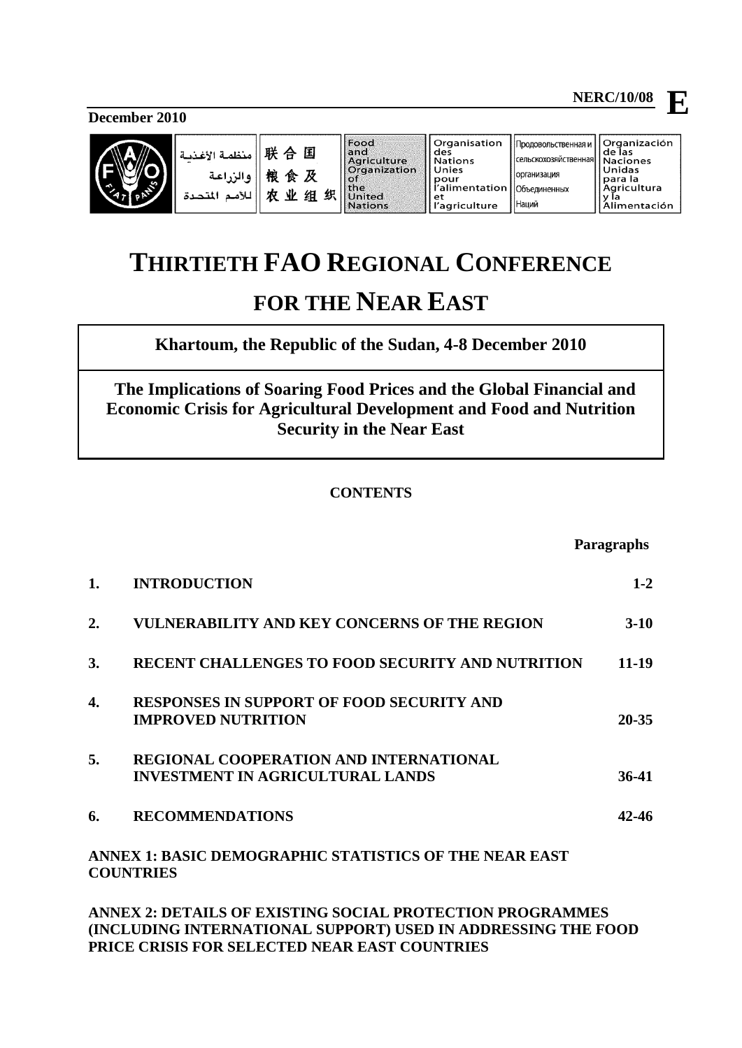**December 2010**



ä.

| 关合国 Andri<br>良食及 Supplier<br>反业组织 International |  |
|-------------------------------------------------|--|

culture anization ed ons

Organisation des **Nations** Unies pour<br>l'alimentation et et<br>l'agriculture

**NERC/10/08**

Продовольственная и

организация

Наций

Organización<br>de las

|<br>|сельскохозяйственная ae ias<br>Naciones Unidas Onidas<br>para la<br>Agricultura<br>y la<br>Alimentación Объединенных

# **THIRTIETH FAO REGIONAL CONFERENCE FOR THE NEAR EAST**

**Khartoum, the Republic of the Sudan, 4-8 December 2010**

 **The Implications of Soaring Food Prices and the Global Financial and Economic Crisis for Agricultural Development and Food and Nutrition Security in the Near East** 

# **CONTENTS**

|                  |                                                                                          | <b>Paragraphs</b> |
|------------------|------------------------------------------------------------------------------------------|-------------------|
| 1.               | <b>INTRODUCTION</b>                                                                      | $1 - 2$           |
| $\overline{2}$ . | <b>VULNERABILITY AND KEY CONCERNS OF THE REGION</b>                                      | $3-10$            |
| 3.               | <b>RECENT CHALLENGES TO FOOD SECURITY AND NUTRITION</b>                                  | 11-19             |
| 4.               | <b>RESPONSES IN SUPPORT OF FOOD SECURITY AND</b><br><b>IMPROVED NUTRITION</b>            | $20 - 35$         |
| 5.               | <b>REGIONAL COOPERATION AND INTERNATIONAL</b><br><b>INVESTMENT IN AGRICULTURAL LANDS</b> | 36-41             |
| 6.               | <b>RECOMMENDATIONS</b>                                                                   | 42-46             |
|                  | ANNEX 1: BASIC DEMOGRAPHIC STATISTICS OF THE NEAR EAST<br><b>COUNTRIES</b>               |                   |

**[ANNEX 2: DETAILS OF EXISTING SOCIAL PROTECTION PROGRAMMES](#page-12-0)  [\(INCLUDING INTERNATIONAL SUPPORT\) USED IN ADDRESSING THE FOOD](#page-12-0)  [PRICE CRISIS FOR SELECTED NEAR EAST COUNTRIES](#page-12-0)**

**E**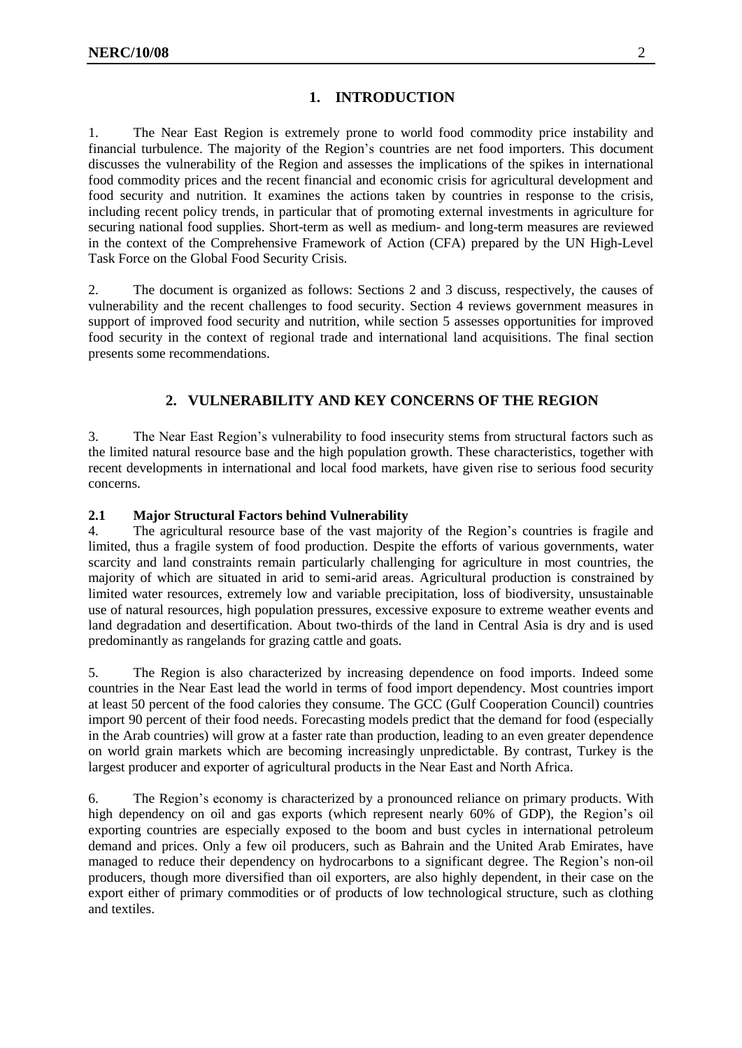### <span id="page-1-0"></span>**1. INTRODUCTION**

1. The Near East Region is extremely prone to world food commodity price instability and financial turbulence. The majority of the Region's countries are net food importers. This document discusses the vulnerability of the Region and assesses the implications of the spikes in international food commodity prices and the recent financial and economic crisis for agricultural development and food security and nutrition. It examines the actions taken by countries in response to the crisis, including recent policy trends, in particular that of promoting external investments in agriculture for securing national food supplies. Short-term as well as medium- and long-term measures are reviewed in the context of the Comprehensive Framework of Action (CFA) prepared by the UN High-Level Task Force on the Global Food Security Crisis*.* 

2. The document is organized as follows: Sections 2 and 3 discuss, respectively, the causes of vulnerability and the recent challenges to food security. Section 4 reviews government measures in support of improved food security and nutrition, while section 5 assesses opportunities for improved food security in the context of regional trade and international land acquisitions. The final section presents some recommendations.

# **2. VULNERABILITY AND KEY CONCERNS OF THE REGION**

<span id="page-1-1"></span>3. The Near East Region's vulnerability to food insecurity stems from structural factors such as the limited natural resource base and the high population growth. These characteristics, together with recent developments in international and local food markets, have given rise to serious food security concerns.

#### **2.1 Major Structural Factors behind Vulnerability**

4. The agricultural resource base of the vast majority of the Region's countries is fragile and limited, thus a fragile system of food production. Despite the efforts of various governments, water scarcity and land constraints remain particularly challenging for agriculture in most countries, the majority of which are situated in arid to semi-arid areas. Agricultural production is constrained by limited water resources, extremely low and variable precipitation, loss of biodiversity, unsustainable use of natural resources, high population pressures, excessive exposure to extreme weather events and land degradation and desertification. About two-thirds of the land in Central Asia is dry and is used predominantly as rangelands for grazing cattle and goats.

5. The Region is also characterized by increasing dependence on food imports. Indeed some countries in the Near East lead the world in terms of food import dependency. Most countries import at least 50 percent of the food calories they consume. The GCC (Gulf Cooperation Council) countries import 90 percent of their food needs. Forecasting models predict that the demand for food (especially in the Arab countries) will grow at a faster rate than production, leading to an even greater dependence on world grain markets which are becoming increasingly unpredictable. By contrast, Turkey is the largest producer and exporter of agricultural products in the Near East and North Africa.

6. The Region's economy is characterized by a pronounced reliance on primary products. With high dependency on oil and gas exports (which represent nearly 60% of GDP), the Region's oil exporting countries are especially exposed to the boom and bust cycles in international petroleum demand and prices. Only a few oil producers, such as Bahrain and the United Arab Emirates, have managed to reduce their dependency on hydrocarbons to a significant degree. The Region's non-oil producers, though more diversified than oil exporters, are also highly dependent, in their case on the export either of primary commodities or of products of low technological structure, such as clothing and textiles.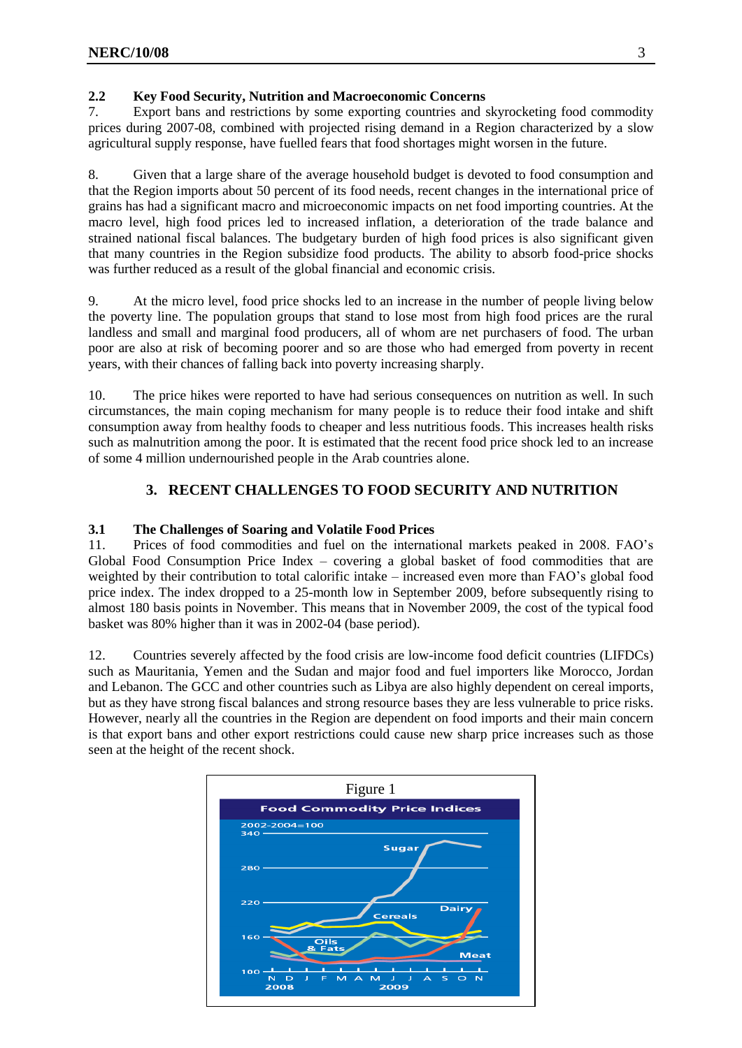### **2.2 Key Food Security, Nutrition and Macroeconomic Concerns**

7. Export bans and restrictions by some exporting countries and skyrocketing food commodity prices during 2007-08, combined with projected rising demand in a Region characterized by a slow agricultural supply response, have fuelled fears that food shortages might worsen in the future.

8. Given that a large share of the average household budget is devoted to food consumption and that the Region imports about 50 percent of its food needs, recent changes in the international price of grains has had a significant macro and microeconomic impacts on net food importing countries. At the macro level, high food prices led to increased inflation, a deterioration of the trade balance and strained national fiscal balances. The budgetary burden of high food prices is also significant given that many countries in the Region subsidize food products. The ability to absorb food-price shocks was further reduced as a result of the global financial and economic crisis.

9. At the micro level, food price shocks led to an increase in the number of people living below the poverty line. The population groups that stand to lose most from high food prices are the rural landless and small and marginal food producers, all of whom are net purchasers of food. The urban poor are also at risk of becoming poorer and so are those who had emerged from poverty in recent years, with their chances of falling back into poverty increasing sharply.

10. The price hikes were reported to have had serious consequences on nutrition as well. In such circumstances, the main coping mechanism for many people is to reduce their food intake and shift consumption away from healthy foods to cheaper and less nutritious foods. This increases health risks such as malnutrition among the poor. It is estimated that the recent food price shock led to an increase of some 4 million undernourished people in the Arab countries alone.

# **3. RECENT CHALLENGES TO FOOD SECURITY AND NUTRITION**

### <span id="page-2-0"></span>**3.1 The Challenges of Soaring and Volatile Food Prices**

11. Prices of food commodities and fuel on the international markets peaked in 2008. FAO's Global Food Consumption Price Index – covering a global basket of food commodities that are weighted by their contribution to total calorific intake – increased even more than FAO's global food price index. The index dropped to a 25-month low in September 2009, before subsequently rising to almost 180 basis points in November. This means that in November 2009, the cost of the typical food basket was 80% higher than it was in 2002-04 (base period).

12. Countries severely affected by the food crisis are low-income food deficit countries (LIFDCs) such as Mauritania, Yemen and the Sudan and major food and fuel importers like Morocco, Jordan and Lebanon. The GCC and other countries such as Libya are also highly dependent on cereal imports, but as they have strong fiscal balances and strong resource bases they are less vulnerable to price risks. However, nearly all the countries in the Region are dependent on food imports and their main concern is that export bans and other export restrictions could cause new sharp price increases such as those seen at the height of the recent shock.

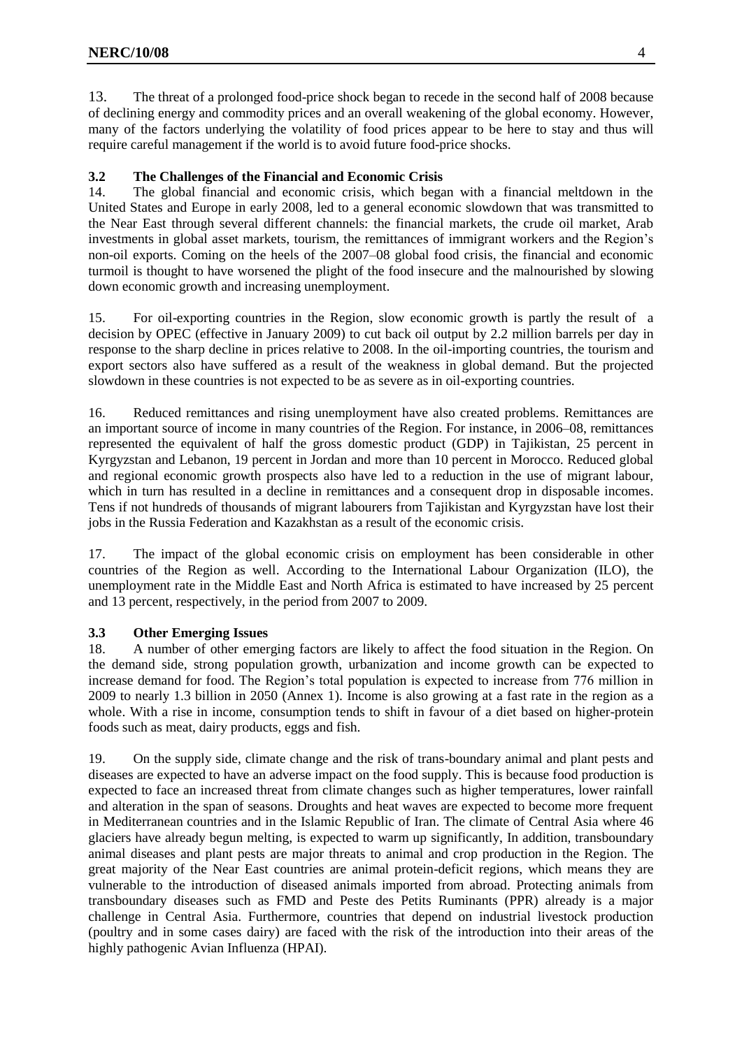13. The threat of a prolonged food-price shock began to recede in the second half of 2008 because of declining energy and commodity prices and an overall weakening of the global economy. However, many of the factors underlying the volatility of food prices appear to be here to stay and thus will require careful management if the world is to avoid future food-price shocks.

#### **3.2 The Challenges of the Financial and Economic Crisis**

14. The global financial and economic crisis, which began with a financial meltdown in the United States and Europe in early 2008, led to a general economic slowdown that was transmitted to the Near East through several different channels: the financial markets, the crude oil market, Arab investments in global asset markets, tourism, the remittances of immigrant workers and the Region's non-oil exports. Coming on the heels of the 2007–08 global food crisis, the financial and economic turmoil is thought to have worsened the plight of the food insecure and the malnourished by slowing down economic growth and increasing unemployment.

15. For oil-exporting countries in the Region, slow economic growth is partly the result of a decision by OPEC (effective in January 2009) to cut back oil output by 2.2 million barrels per day in response to the sharp decline in prices relative to 2008. In the oil-importing countries, the tourism and export sectors also have suffered as a result of the weakness in global demand. But the projected slowdown in these countries is not expected to be as severe as in oil-exporting countries.

16. Reduced remittances and rising unemployment have also created problems. Remittances are an important source of income in many countries of the Region. For instance, in 2006–08, remittances represented the equivalent of half the gross domestic product (GDP) in Tajikistan, 25 percent in Kyrgyzstan and Lebanon, 19 percent in Jordan and more than 10 percent in Morocco. Reduced global and regional economic growth prospects also have led to a reduction in the use of migrant labour, which in turn has resulted in a decline in remittances and a consequent drop in disposable incomes. Tens if not hundreds of thousands of migrant labourers from Tajikistan and Kyrgyzstan have lost their jobs in the Russia Federation and Kazakhstan as a result of the economic crisis.

17. The impact of the global economic crisis on employment has been considerable in other countries of the Region as well. According to the International Labour Organization (ILO), the unemployment rate in the Middle East and North Africa is estimated to have increased by 25 percent and 13 percent, respectively, in the period from 2007 to 2009.

#### **3.3 Other Emerging Issues**

18. A number of other emerging factors are likely to affect the food situation in the Region. On the demand side, strong population growth, urbanization and income growth can be expected to increase demand for food. The Region's total population is expected to increase from 776 million in 2009 to nearly 1.3 billion in 2050 (Annex 1). Income is also growing at a fast rate in the region as a whole. With a rise in income, consumption tends to shift in favour of a diet based on higher-protein foods such as meat, dairy products, eggs and fish.

19. On the supply side, climate change and the risk of trans-boundary animal and plant pests and diseases are expected to have an adverse impact on the food supply. This is because food production is expected to face an increased threat from climate changes such as higher temperatures, lower rainfall and alteration in the span of seasons. Droughts and heat waves are expected to become more frequent in Mediterranean countries and in the Islamic Republic of Iran. The climate of Central Asia where 46 glaciers have already begun melting, is expected to warm up significantly, In addition, transboundary animal diseases and plant pests are major threats to animal and crop production in the Region. The great majority of the Near East countries are animal protein-deficit regions, which means they are vulnerable to the introduction of diseased animals imported from abroad. Protecting animals from transboundary diseases such as FMD and Peste des Petits Ruminants (PPR) already is a major challenge in Central Asia. Furthermore, countries that depend on industrial livestock production (poultry and in some cases dairy) are faced with the risk of the introduction into their areas of the highly pathogenic Avian Influenza (HPAI).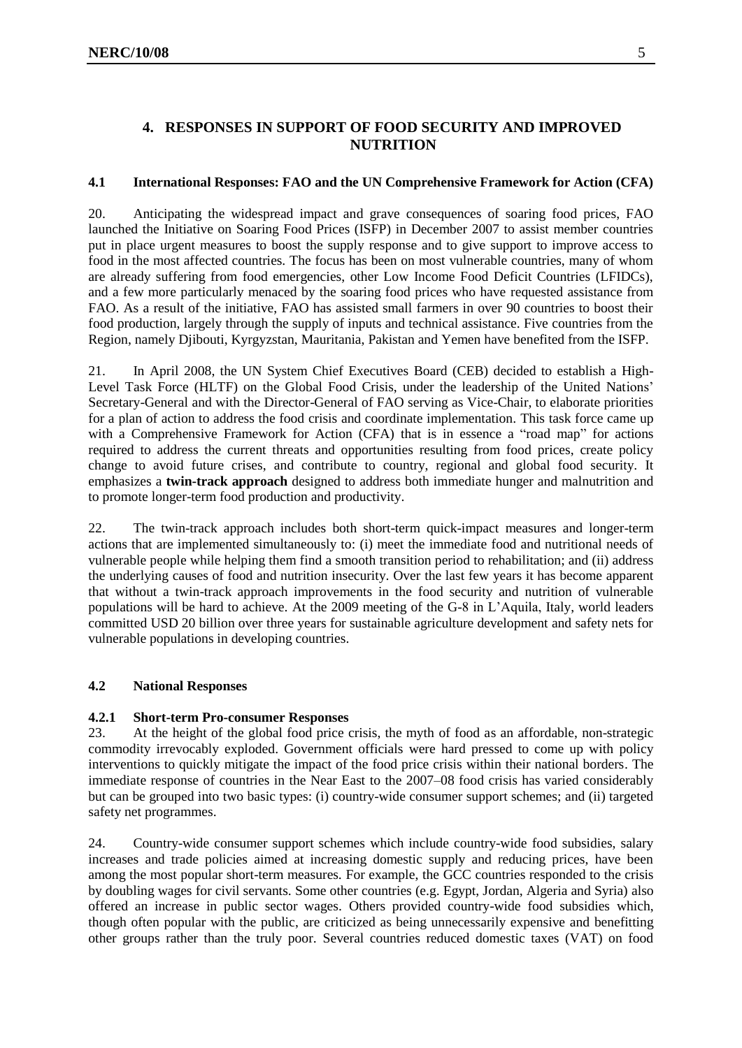# <span id="page-4-0"></span>**4. RESPONSES IN SUPPORT OF FOOD SECURITY AND IMPROVED NUTRITION**

#### **4.1 International Responses: FAO and the UN Comprehensive Framework for Action (CFA)**

20. Anticipating the widespread impact and grave consequences of soaring food prices, FAO launched the Initiative on Soaring Food Prices (ISFP) in December 2007 to assist member countries put in place urgent measures to boost the supply response and to give support to improve access to food in the most affected countries. The focus has been on most vulnerable countries, many of whom are already suffering from food emergencies, other Low Income Food Deficit Countries (LFIDCs), and a few more particularly menaced by the soaring food prices who have requested assistance from FAO. As a result of the initiative, FAO has assisted small farmers in over 90 countries to boost their food production, largely through the supply of inputs and technical assistance. Five countries from the Region, namely Djibouti, Kyrgyzstan, Mauritania, Pakistan and Yemen have benefited from the ISFP.

21. In April 2008, the UN System Chief Executives Board (CEB) decided to establish a High-Level Task Force (HLTF) on the Global Food Crisis, under the leadership of the United Nations' Secretary-General and with the Director-General of FAO serving as Vice-Chair, to elaborate priorities for a plan of action to address the food crisis and coordinate implementation. This task force came up with a Comprehensive Framework for Action (CFA) that is in essence a "road map" for actions required to address the current threats and opportunities resulting from food prices, create policy change to avoid future crises, and contribute to country, regional and global food security. It emphasizes a **twin-track approach** designed to address both immediate hunger and malnutrition and to promote longer-term food production and productivity.

22. The twin-track approach includes both short-term quick-impact measures and longer-term actions that are implemented simultaneously to: (i) meet the immediate food and nutritional needs of vulnerable people while helping them find a smooth transition period to rehabilitation; and (ii) address the underlying causes of food and nutrition insecurity. Over the last few years it has become apparent that without a twin-track approach improvements in the food security and nutrition of vulnerable populations will be hard to achieve. At the 2009 meeting of the G-8 in L'Aquila, Italy, world leaders committed USD 20 billion over three years for sustainable agriculture development and safety nets for vulnerable populations in developing countries.

#### **4.2 National Responses**

#### **4.2.1 Short-term Pro-consumer Responses**

23. At the height of the global food price crisis, the myth of food as an affordable, non-strategic commodity irrevocably exploded. Government officials were hard pressed to come up with policy interventions to quickly mitigate the impact of the food price crisis within their national borders. The immediate response of countries in the Near East to the 2007–08 food crisis has varied considerably but can be grouped into two basic types: (i) country-wide consumer support schemes; and (ii) targeted safety net programmes.

24. Country-wide consumer support schemes which include country-wide food subsidies, salary increases and trade policies aimed at increasing domestic supply and reducing prices, have been among the most popular short-term measures. For example, the GCC countries responded to the crisis by doubling wages for civil servants. Some other countries (e.g. Egypt, Jordan, Algeria and Syria) also offered an increase in public sector wages. Others provided country-wide food subsidies which, though often popular with the public, are criticized as being unnecessarily expensive and benefitting other groups rather than the truly poor. Several countries reduced domestic taxes (VAT) on food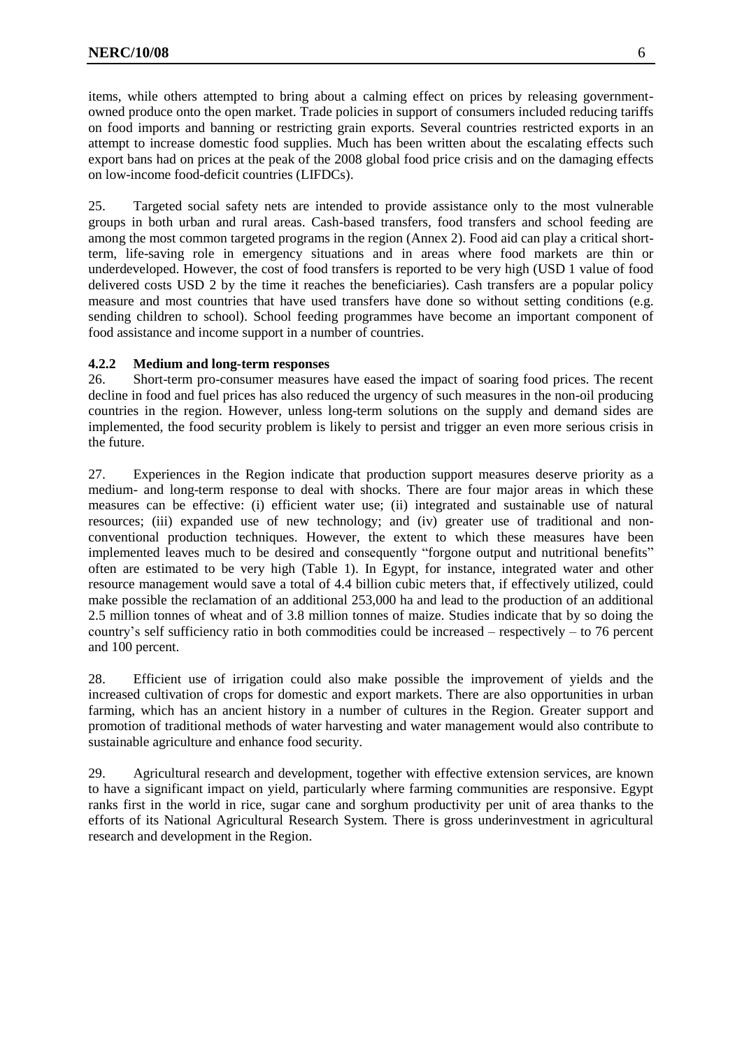items, while others attempted to bring about a calming effect on prices by releasing governmentowned produce onto the open market. Trade policies in support of consumers included reducing tariffs on food imports and banning or restricting grain exports. Several countries restricted exports in an attempt to increase domestic food supplies. Much has been written about the escalating effects such export bans had on prices at the peak of the 2008 global food price crisis and on the damaging effects on low-income food-deficit countries (LIFDCs).

25. Targeted social safety nets are intended to provide assistance only to the most vulnerable groups in both urban and rural areas. Cash-based transfers, food transfers and school feeding are among the most common targeted programs in the region (Annex 2). Food aid can play a critical shortterm, life-saving role in emergency situations and in areas where food markets are thin or underdeveloped. However, the cost of food transfers is reported to be very high (USD 1 value of food delivered costs USD 2 by the time it reaches the beneficiaries). Cash transfers are a popular policy measure and most countries that have used transfers have done so without setting conditions (e.g. sending children to school). School feeding programmes have become an important component of food assistance and income support in a number of countries.

#### **4.2.2 Medium and long-term responses**

26. Short-term pro-consumer measures have eased the impact of soaring food prices. The recent decline in food and fuel prices has also reduced the urgency of such measures in the non-oil producing countries in the region. However, unless long-term solutions on the supply and demand sides are implemented, the food security problem is likely to persist and trigger an even more serious crisis in the future.

27. Experiences in the Region indicate that production support measures deserve priority as a medium- and long-term response to deal with shocks. There are four major areas in which these measures can be effective: (i) efficient water use; (ii) integrated and sustainable use of natural resources; (iii) expanded use of new technology; and (iv) greater use of traditional and nonconventional production techniques. However, the extent to which these measures have been implemented leaves much to be desired and consequently "forgone output and nutritional benefits" often are estimated to be very high (Table 1). In Egypt, for instance, integrated water and other resource management would save a total of 4.4 billion cubic meters that, if effectively utilized, could make possible the reclamation of an additional 253,000 ha and lead to the production of an additional 2.5 million tonnes of wheat and of 3.8 million tonnes of maize. Studies indicate that by so doing the country's self sufficiency ratio in both commodities could be increased – respectively – to 76 percent and 100 percent.

28. Efficient use of irrigation could also make possible the improvement of yields and the increased cultivation of crops for domestic and export markets. There are also opportunities in urban farming, which has an ancient history in a number of cultures in the Region. Greater support and promotion of traditional methods of water harvesting and water management would also contribute to sustainable agriculture and enhance food security.

29. Agricultural research and development, together with effective extension services, are known to have a significant impact on yield, particularly where farming communities are responsive. Egypt ranks first in the world in rice, sugar cane and sorghum productivity per unit of area thanks to the efforts of its National Agricultural Research System. There is gross underinvestment in agricultural research and development in the Region.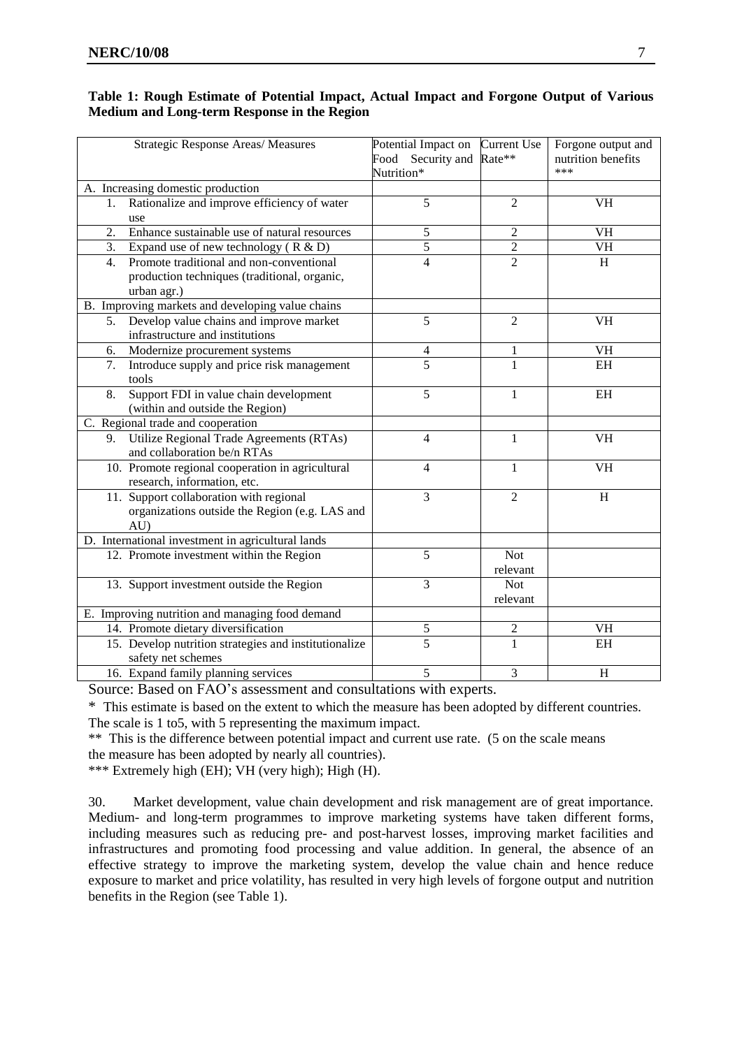| Table 1: Rough Estimate of Potential Impact, Actual Impact and Forgone Output of Various |  |  |
|------------------------------------------------------------------------------------------|--|--|
| Medium and Long-term Response in the Region                                              |  |  |

| Strategic Response Areas/ Measures                                                                            | Potential Impact on<br>Food Security and<br>Nutrition* | <b>Current Use</b><br>Rate** | Forgone output and<br>nutrition benefits<br>*** |
|---------------------------------------------------------------------------------------------------------------|--------------------------------------------------------|------------------------------|-------------------------------------------------|
| A. Increasing domestic production                                                                             |                                                        |                              |                                                 |
| Rationalize and improve efficiency of water<br>1.<br>use                                                      | 5                                                      | $\overline{2}$               | <b>VH</b>                                       |
| 2.<br>Enhance sustainable use of natural resources                                                            | 5                                                      | $\overline{c}$               | <b>VH</b>                                       |
| 3.<br>Expand use of new technology $(R & D)$                                                                  | 5                                                      | 2                            | <b>VH</b>                                       |
| Promote traditional and non-conventional<br>4.<br>production techniques (traditional, organic,<br>urban agr.) | $\overline{\mathcal{L}}$                               | $\overline{2}$               | H                                               |
| B. Improving markets and developing value chains                                                              |                                                        |                              |                                                 |
| Develop value chains and improve market<br>5.<br>infrastructure and institutions                              | 5                                                      | $\overline{2}$               | <b>VH</b>                                       |
| Modernize procurement systems<br>6.                                                                           | 4                                                      | $\mathbf{1}$                 | <b>VH</b>                                       |
| Introduce supply and price risk management<br>7.<br>tools                                                     | 5                                                      | 1                            | EH                                              |
| Support FDI in value chain development<br>8.<br>(within and outside the Region)                               | 5                                                      | $\mathbf{1}$                 | EH                                              |
| C. Regional trade and cooperation                                                                             |                                                        |                              |                                                 |
| Utilize Regional Trade Agreements (RTAs)<br>9.<br>and collaboration be/n RTAs                                 | $\overline{\mathcal{L}}$                               | $\mathbf{1}$                 | $\overline{\text{VH}}$                          |
| 10. Promote regional cooperation in agricultural<br>research, information, etc.                               | 4                                                      | 1                            | <b>VH</b>                                       |
| 11. Support collaboration with regional<br>organizations outside the Region (e.g. LAS and<br>AU               | 3                                                      | $\overline{2}$               | H                                               |
| D. International investment in agricultural lands                                                             |                                                        |                              |                                                 |
| 12. Promote investment within the Region                                                                      | 5                                                      | <b>Not</b><br>relevant       |                                                 |
| 13. Support investment outside the Region                                                                     | 3                                                      | <b>Not</b><br>relevant       |                                                 |
| E. Improving nutrition and managing food demand                                                               |                                                        |                              |                                                 |
| 14. Promote dietary diversification                                                                           | 5                                                      | 2                            | <b>VH</b>                                       |
| 15. Develop nutrition strategies and institutionalize<br>safety net schemes                                   | $\overline{5}$                                         | $\mathbf{1}$                 | EH                                              |
| 16. Expand family planning services                                                                           | 5                                                      | 3                            | $\overline{H}$                                  |

Source: Based on FAO's assessment and consultations with experts.

\* This estimate is based on the extent to which the measure has been adopted by different countries. The scale is 1 to5, with 5 representing the maximum impact.

\*\* This is the difference between potential impact and current use rate. (5 on the scale means the measure has been adopted by nearly all countries).

\*\*\* Extremely high (EH); VH (very high); High (H).

30. Market development, value chain development and risk management are of great importance. Medium- and long-term programmes to improve marketing systems have taken different forms, including measures such as reducing pre- and post-harvest losses, improving market facilities and infrastructures and promoting food processing and value addition. In general, the absence of an effective strategy to improve the marketing system, develop the value chain and hence reduce exposure to market and price volatility, has resulted in very high levels of forgone output and nutrition benefits in the Region (see Table 1).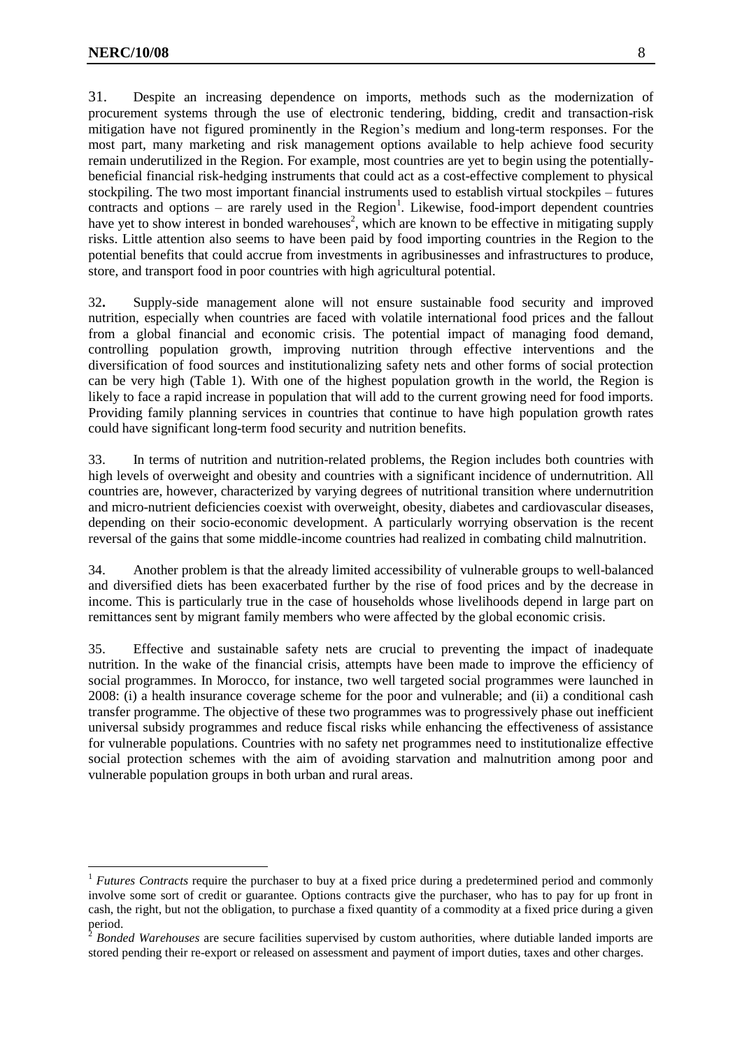$\overline{a}$ 

31. Despite an increasing dependence on imports, methods such as the modernization of procurement systems through the use of electronic tendering, bidding, credit and transaction-risk mitigation have not figured prominently in the Region's medium and long-term responses. For the most part, many marketing and risk management options available to help achieve food security remain underutilized in the Region. For example, most countries are yet to begin using the potentiallybeneficial financial risk-hedging instruments that could act as a cost-effective complement to physical stockpiling. The two most important financial instruments used to establish virtual stockpiles – futures  $contracts and options – are rarely used in the Region<sup>1</sup>. Likewise, food-import dependent countries$ have yet to show interest in bonded warehouses<sup>2</sup>, which are known to be effective in mitigating supply risks. Little attention also seems to have been paid by food importing countries in the Region to the potential benefits that could accrue from investments in agribusinesses and infrastructures to produce, store, and transport food in poor countries with high agricultural potential.

32**.** Supply-side management alone will not ensure sustainable food security and improved nutrition, especially when countries are faced with volatile international food prices and the fallout from a global financial and economic crisis. The potential impact of managing food demand, controlling population growth, improving nutrition through effective interventions and the diversification of food sources and institutionalizing safety nets and other forms of social protection can be very high (Table 1). With one of the highest population growth in the world, the Region is likely to face a rapid increase in population that will add to the current growing need for food imports. Providing family planning services in countries that continue to have high population growth rates could have significant long-term food security and nutrition benefits.

33. In terms of nutrition and nutrition-related problems, the Region includes both countries with high levels of overweight and obesity and countries with a significant incidence of undernutrition. All countries are, however, characterized by varying degrees of nutritional transition where undernutrition and micro-nutrient deficiencies coexist with overweight, obesity, diabetes and cardiovascular diseases, depending on their socio-economic development. A particularly worrying observation is the recent reversal of the gains that some middle-income countries had realized in combating child malnutrition.

34. Another problem is that the already limited accessibility of vulnerable groups to well-balanced and diversified diets has been exacerbated further by the rise of food prices and by the decrease in income. This is particularly true in the case of households whose livelihoods depend in large part on remittances sent by migrant family members who were affected by the global economic crisis.

35. Effective and sustainable safety nets are crucial to preventing the impact of inadequate nutrition. In the wake of the financial crisis, attempts have been made to improve the efficiency of social programmes. In Morocco, for instance, two well targeted social programmes were launched in 2008: (i) a health insurance coverage scheme for the poor and vulnerable; and (ii) a conditional cash transfer programme. The objective of these two programmes was to progressively phase out inefficient universal subsidy programmes and reduce fiscal risks while enhancing the effectiveness of assistance for vulnerable populations. Countries with no safety net programmes need to institutionalize effective social protection schemes with the aim of avoiding starvation and malnutrition among poor and vulnerable population groups in both urban and rural areas.

<sup>&</sup>lt;sup>1</sup> *Futures Contracts* require the purchaser to buy at a fixed price during a predetermined period and commonly involve some sort of credit or guarantee. Options contracts give the purchaser, who has to pay for up front in cash, the right, but not the obligation, to purchase a fixed quantity of a commodity at a fixed price during a given period.

<sup>2</sup> *Bonded Warehouses* are secure facilities supervised by custom authorities, where dutiable landed imports are stored pending their re-export or released on assessment and payment of import duties, taxes and other charges.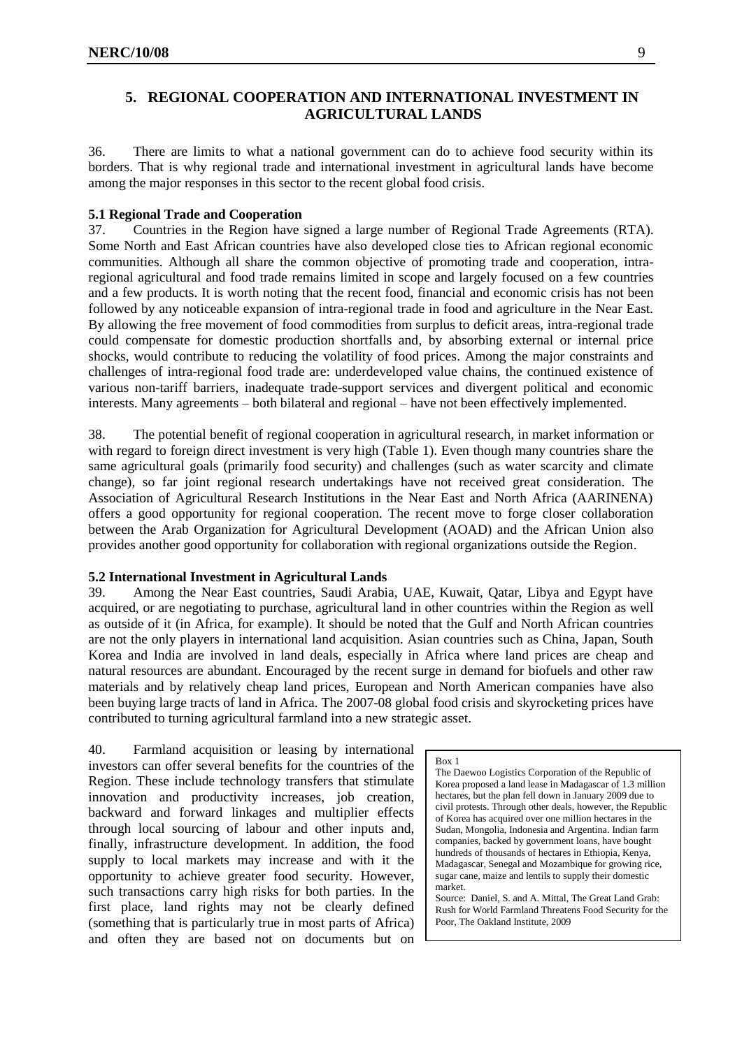# <span id="page-8-0"></span>**5. REGIONAL COOPERATION AND INTERNATIONAL INVESTMENT IN AGRICULTURAL LANDS**

36. There are limits to what a national government can do to achieve food security within its borders. That is why regional trade and international investment in agricultural lands have become among the major responses in this sector to the recent global food crisis.

#### **5.1 Regional Trade and Cooperation**

37. Countries in the Region have signed a large number of Regional Trade Agreements (RTA). Some North and East African countries have also developed close ties to African regional economic communities. Although all share the common objective of promoting trade and cooperation, intraregional agricultural and food trade remains limited in scope and largely focused on a few countries and a few products. It is worth noting that the recent food, financial and economic crisis has not been followed by any noticeable expansion of intra-regional trade in food and agriculture in the Near East. By allowing the free movement of food commodities from surplus to deficit areas, intra-regional trade could compensate for domestic production shortfalls and, by absorbing external or internal price shocks, would contribute to reducing the volatility of food prices. Among the major constraints and challenges of intra-regional food trade are: underdeveloped value chains, the continued existence of various non-tariff barriers, inadequate trade-support services and divergent political and economic interests. Many agreements – both bilateral and regional – have not been effectively implemented.

38. The potential benefit of regional cooperation in agricultural research, in market information or with regard to foreign direct investment is very high (Table 1). Even though many countries share the same agricultural goals (primarily food security) and challenges (such as water scarcity and climate change), so far joint regional research undertakings have not received great consideration. The Association of Agricultural Research Institutions in the Near East and North Africa (AARINENA) offers a good opportunity for regional cooperation. The recent move to forge closer collaboration between the Arab Organization for Agricultural Development (AOAD) and the African Union also provides another good opportunity for collaboration with regional organizations outside the Region.

#### **5.2 International Investment in Agricultural Lands**

39. Among the Near East countries, Saudi Arabia, UAE, Kuwait, Qatar, Libya and Egypt have acquired, or are negotiating to purchase, agricultural land in other countries within the Region as well as outside of it (in Africa, for example). It should be noted that the Gulf and North African countries are not the only players in international land acquisition. Asian countries such as China, Japan, South Korea and India are involved in land deals, especially in Africa where land prices are cheap and natural resources are abundant. Encouraged by the recent surge in demand for biofuels and other raw materials and by relatively cheap land prices, European and North American companies have also been buying large tracts of land in Africa. The 2007-08 global food crisis and skyrocketing prices have contributed to turning agricultural farmland into a new strategic asset.

40. Farmland acquisition or leasing by international investors can offer several benefits for the countries of the Region. These include technology transfers that stimulate innovation and productivity increases, job creation, backward and forward linkages and multiplier effects through local sourcing of labour and other inputs and, finally, infrastructure development. In addition, the food supply to local markets may increase and with it the opportunity to achieve greater food security. However, such transactions carry high risks for both parties. In the first place, land rights may not be clearly defined (something that is particularly true in most parts of Africa) and often they are based not on documents but on

#### Box 1

The Daewoo Logistics Corporation of the Republic of Korea proposed a land lease in Madagascar of 1.3 million hectares, but the plan fell down in January 2009 due to civil protests. Through other deals, however, the Republic of Korea has acquired over one million hectares in the Sudan, Mongolia, Indonesia and Argentina. Indian farm companies, backed by government loans, have bought hundreds of thousands of hectares in Ethiopia, Kenya, Madagascar, Senegal and Mozambique for growing rice, sugar cane, maize and lentils to supply their domestic market.

Source: Daniel, S. and A. Mittal, The Great Land Grab: Rush for World Farmland Threatens Food Security for the Poor, The Oakland Institute, 2009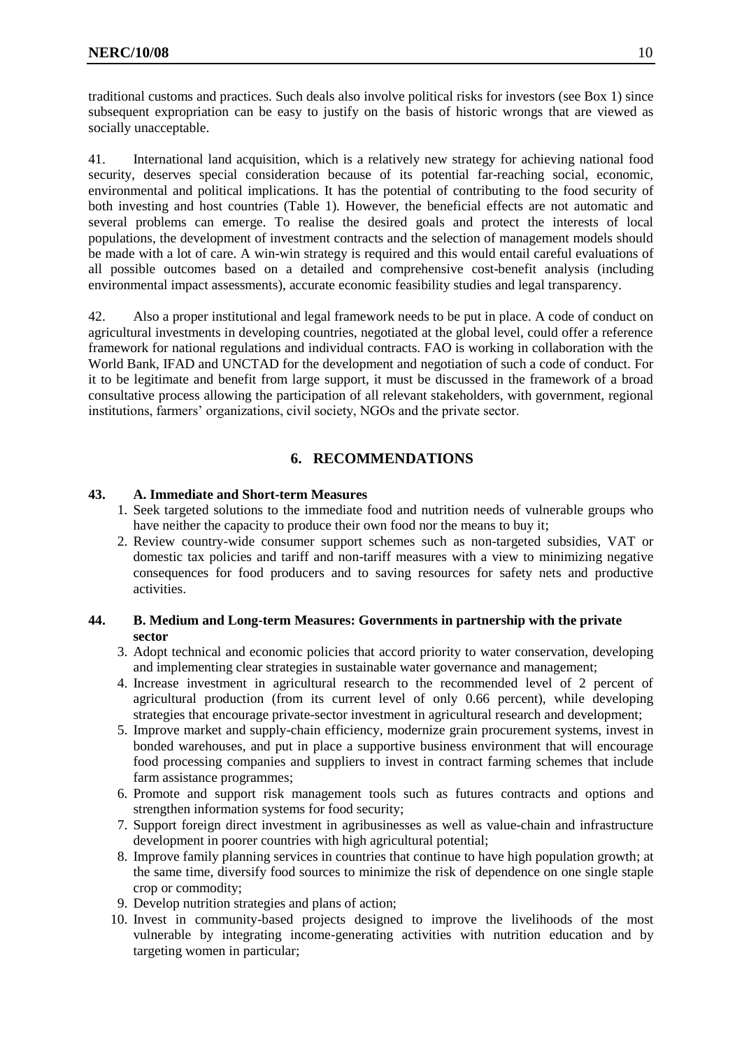traditional customs and practices. Such deals also involve political risks for investors (see Box 1) since subsequent expropriation can be easy to justify on the basis of historic wrongs that are viewed as socially unacceptable.

41. International land acquisition, which is a relatively new strategy for achieving national food security, deserves special consideration because of its potential far-reaching social, economic, environmental and political implications. It has the potential of contributing to the food security of both investing and host countries (Table 1). However, the beneficial effects are not automatic and several problems can emerge. To realise the desired goals and protect the interests of local populations, the development of investment contracts and the selection of management models should be made with a lot of care. A win-win strategy is required and this would entail careful evaluations of all possible outcomes based on a detailed and comprehensive cost-benefit analysis (including environmental impact assessments), accurate economic feasibility studies and legal transparency.

42. Also a proper institutional and legal framework needs to be put in place. A code of conduct on agricultural investments in developing countries, negotiated at the global level, could offer a reference framework for national regulations and individual contracts. FAO is working in collaboration with the World Bank, IFAD and UNCTAD for the development and negotiation of such a code of conduct. For it to be legitimate and benefit from large support, it must be discussed in the framework of a broad consultative process allowing the participation of all relevant stakeholders, with government, regional institutions, farmers' organizations, civil society, NGOs and the private sector.

# **6. RECOMMENDATIONS**

#### <span id="page-9-0"></span>**43. A. Immediate and Short-term Measures**

- 1. Seek targeted solutions to the immediate food and nutrition needs of vulnerable groups who have neither the capacity to produce their own food nor the means to buy it;
- 2. Review country-wide consumer support schemes such as non-targeted subsidies, VAT or domestic tax policies and tariff and non-tariff measures with a view to minimizing negative consequences for food producers and to saving resources for safety nets and productive activities.

#### **44. B. Medium and Long-term Measures: Governments in partnership with the private sector**

- 3. Adopt technical and economic policies that accord priority to water conservation, developing and implementing clear strategies in sustainable water governance and management;
- 4. Increase investment in agricultural research to the recommended level of 2 percent of agricultural production (from its current level of only 0.66 percent), while developing strategies that encourage private-sector investment in agricultural research and development;
- 5. Improve market and supply-chain efficiency, modernize grain procurement systems, invest in bonded warehouses, and put in place a supportive business environment that will encourage food processing companies and suppliers to invest in contract farming schemes that include farm assistance programmes;
- 6. Promote and support risk management tools such as futures contracts and options and strengthen information systems for food security;
- 7. Support foreign direct investment in agribusinesses as well as value-chain and infrastructure development in poorer countries with high agricultural potential;
- 8. Improve family planning services in countries that continue to have high population growth; at the same time, diversify food sources to minimize the risk of dependence on one single staple crop or commodity;
- 9. Develop nutrition strategies and plans of action;
- 10. Invest in community-based projects designed to improve the livelihoods of the most vulnerable by integrating income-generating activities with nutrition education and by targeting women in particular;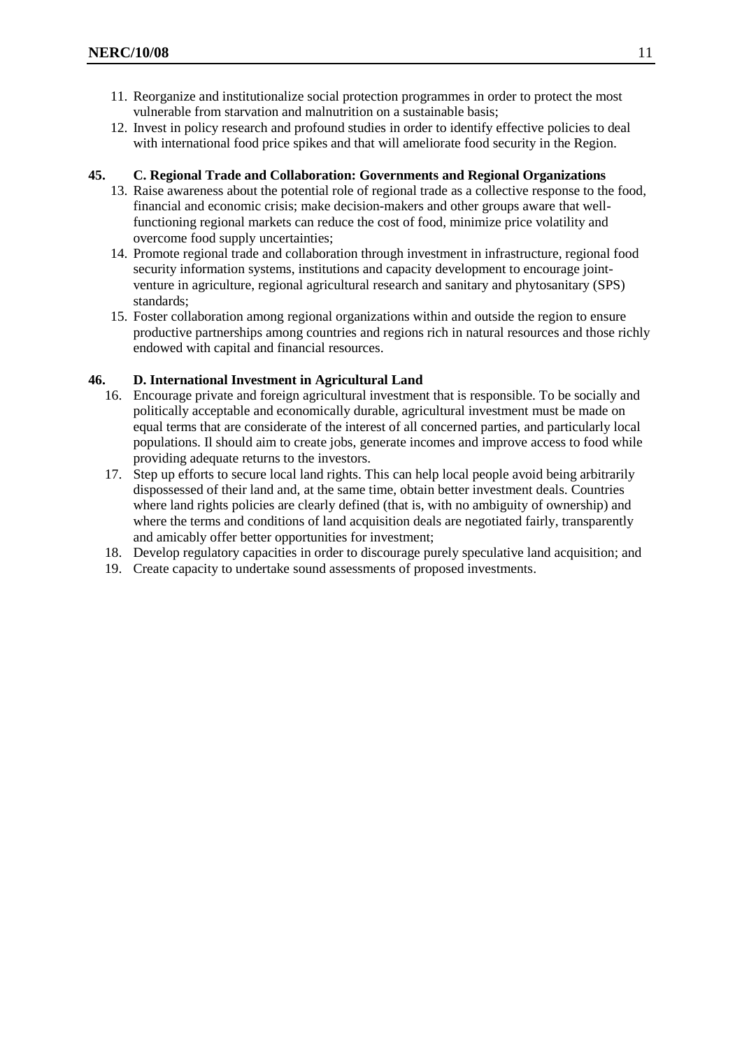- 11. Reorganize and institutionalize social protection programmes in order to protect the most vulnerable from starvation and malnutrition on a sustainable basis;
- 12. Invest in policy research and profound studies in order to identify effective policies to deal with international food price spikes and that will ameliorate food security in the Region.

#### **45. C. Regional Trade and Collaboration: Governments and Regional Organizations**

- 13. Raise awareness about the potential role of regional trade as a collective response to the food, financial and economic crisis; make decision-makers and other groups aware that wellfunctioning regional markets can reduce the cost of food, minimize price volatility and overcome food supply uncertainties;
- 14. Promote regional trade and collaboration through investment in infrastructure, regional food security information systems, institutions and capacity development to encourage jointventure in agriculture, regional agricultural research and sanitary and phytosanitary (SPS) standards;
- 15. Foster collaboration among regional organizations within and outside the region to ensure productive partnerships among countries and regions rich in natural resources and those richly endowed with capital and financial resources.

#### **46. D. International Investment in Agricultural Land**

- 16. Encourage private and foreign agricultural investment that is responsible. To be socially and politically acceptable and economically durable, agricultural investment must be made on equal terms that are considerate of the interest of all concerned parties, and particularly local populations. Il should aim to create jobs, generate incomes and improve access to food while providing adequate returns to the investors.
- 17. Step up efforts to secure local land rights. This can help local people avoid being arbitrarily dispossessed of their land and, at the same time, obtain better investment deals. Countries where land rights policies are clearly defined (that is, with no ambiguity of ownership) and where the terms and conditions of land acquisition deals are negotiated fairly, transparently and amicably offer better opportunities for investment;
- 18. Develop regulatory capacities in order to discourage purely speculative land acquisition; and
- 19. Create capacity to undertake sound assessments of proposed investments.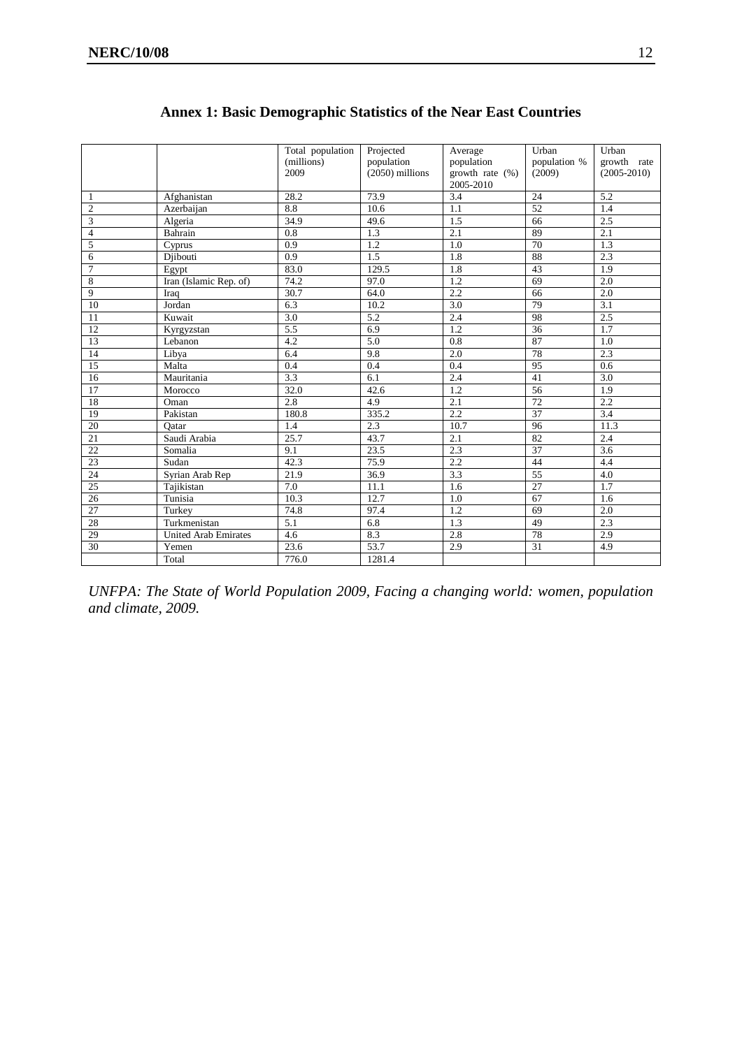<span id="page-11-0"></span>

|                 |                             | Total population<br>(millions)<br>2009 | Projected<br>population<br>$(2050)$ millions | Average<br>population<br>growth rate $(\%)$ | Urban<br>population %<br>(2009) | Urban<br>growth rate<br>$(2005 - 2010)$ |
|-----------------|-----------------------------|----------------------------------------|----------------------------------------------|---------------------------------------------|---------------------------------|-----------------------------------------|
|                 |                             |                                        |                                              | 2005-2010                                   |                                 |                                         |
| 1               | Afghanistan                 | 28.2                                   | 73.9                                         | 3.4                                         | 24                              | 5.2                                     |
| $\overline{c}$  | Azerbaijan                  | 8.8                                    | 10.6                                         | 1.1                                         | 52                              | 1.4                                     |
| $\overline{3}$  | Algeria                     | 34.9                                   | 49.6                                         | 1.5                                         | 66                              | 2.5                                     |
| $\overline{4}$  | Bahrain                     | 0.8                                    | 1.3                                          | 2.1                                         | 89                              | 2.1                                     |
| 5               | Cyprus                      | 0.9                                    | 1.2                                          | 1.0                                         | 70                              | 1.3                                     |
| 6               | Diibouti                    | $\overline{0.9}$                       | 1.5                                          | 1.8                                         | 88                              | 2.3                                     |
| $\overline{7}$  | Egypt                       | 83.0                                   | 129.5                                        | 1.8                                         | 43                              | 1.9                                     |
| 8               | Iran (Islamic Rep. of)      | 74.2                                   | 97.0                                         | 1.2                                         | 69                              | 2.0                                     |
| 9               | Iraq                        | 30.7                                   | 64.0                                         | 2.2                                         | 66                              | 2.0                                     |
| 10              | Jordan                      | 6.3                                    | 10.2                                         | 3.0                                         | 79                              | 3.1                                     |
| 11              | Kuwait                      | 3.0                                    | 5.2                                          | 2.4                                         | 98                              | 2.5                                     |
| 12              | Kyrgyzstan                  | 5.5                                    | 6.9                                          | 1.2                                         | 36                              | 1.7                                     |
| 13              | Lebanon                     | 4.2                                    | 5.0                                          | 0.8                                         | 87                              | 1.0                                     |
| 14              | Libya                       | 6.4                                    | 9.8                                          | 2.0                                         | 78                              | 2.3                                     |
| 15              | Malta                       | 0.4                                    | 0.4                                          | 0.4                                         | 95                              | 0.6                                     |
| 16              | Mauritania                  | 3.3                                    | 6.1                                          | 2.4                                         | 41                              | 3.0                                     |
| 17              | Morocco                     | 32.0                                   | 42.6                                         | 1.2                                         | 56                              | 1.9                                     |
| 18              | Oman                        | $\overline{2.8}$                       | 4.9                                          | 2.1                                         | 72                              | 2.2                                     |
| 19              | Pakistan                    | 180.8                                  | 335.2                                        | 2.2                                         | 37                              | 3.4                                     |
| 20              | Oatar                       | 1.4                                    | 2.3                                          | 10.7                                        | 96                              | 11.3                                    |
| 21              | Saudi Arabia                | 25.7                                   | 43.7                                         | 2.1                                         | 82                              | 2.4                                     |
| 22              | Somalia                     | 9.1                                    | 23.5                                         | 2.3                                         | 37                              | 3.6                                     |
| 23              | Sudan                       | 42.3                                   | 75.9                                         | 2.2                                         | 44                              | 4.4                                     |
| 24              | Syrian Arab Rep             | 21.9                                   | 36.9                                         | 3.3                                         | 55                              | 4.0                                     |
| $\overline{25}$ | Tajikistan                  | $\overline{7.0}$                       | 11.1                                         | 1.6                                         | $\overline{27}$                 | $\overline{1.7}$                        |
| $26\,$          | Tunisia                     | 10.3                                   | 12.7                                         | 1.0                                         | 67                              | 1.6                                     |
| $\overline{27}$ | Turkey                      | 74.8                                   | 97.4                                         | 1.2                                         | 69                              | 2.0                                     |
| 28              | Turkmenistan                | 5.1                                    | 6.8                                          | 1.3                                         | 49                              | 2.3                                     |
| 29              | <b>United Arab Emirates</b> | 4.6                                    | 8.3                                          | 2.8                                         | 78                              | 2.9                                     |
| 30              | Yemen                       | 23.6                                   | $\overline{53.7}$                            | 2.9                                         | 31                              | 4.9                                     |
|                 | Total                       | 776.0                                  | 1281.4                                       |                                             |                                 |                                         |

# **Annex 1: Basic Demographic Statistics of the Near East Countries**

*UNFPA: The State of World Population 2009, Facing a changing world: women, population and climate, 2009.*